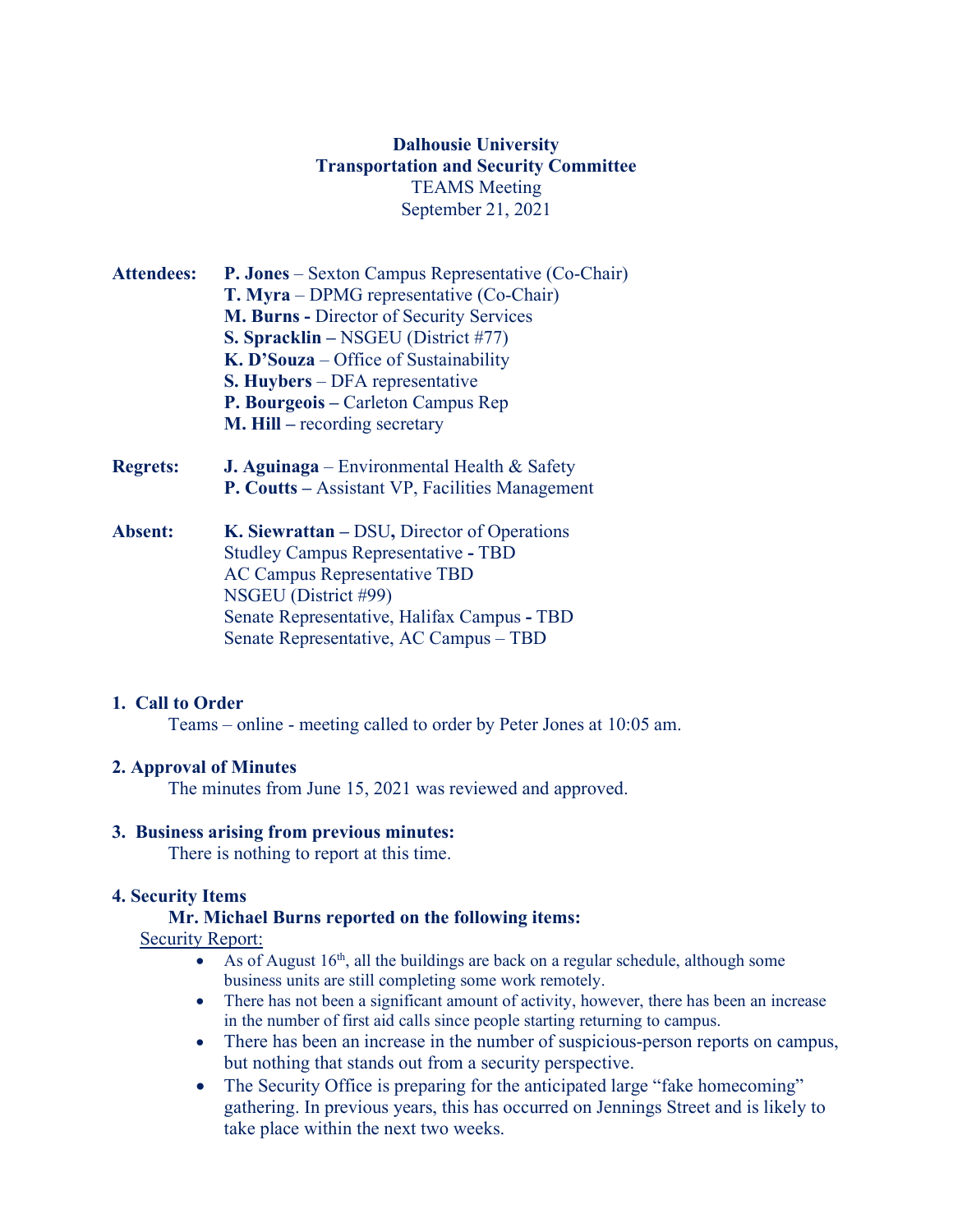# **Dalhousie University Transportation and Security Committee** TEAMS Meeting September 21, 2021

| <b>Attendees:</b> | <b>P. Jones</b> – Sexton Campus Representative (Co-Chair)<br>T. Myra – DPMG representative (Co-Chair)<br><b>M. Burns - Director of Security Services</b><br><b>S. Spracklin</b> – NSGEU (District #77)<br>$K$ . D'Souza – Office of Sustainability<br><b>S. Huybers</b> – DFA representative |
|-------------------|----------------------------------------------------------------------------------------------------------------------------------------------------------------------------------------------------------------------------------------------------------------------------------------------|
|                   | P. Bourgeois – Carleton Campus Rep<br>$M.$ Hill – recording secretary                                                                                                                                                                                                                        |
| <b>Regrets:</b>   | <b>J. Aguinaga</b> – Environmental Health $\&$ Safety<br><b>P. Coutts</b> – Assistant VP, Facilities Management                                                                                                                                                                              |
| Absent:           | K. Siewrattan – DSU, Director of Operations<br><b>Studley Campus Representative - TBD</b><br><b>AC Campus Representative TBD</b>                                                                                                                                                             |

NSGEU (District #99) Senate Representative, Halifax Campus **-** TBD Senate Representative, AC Campus – TBD

### **1. Call to Order**

Teams – online - meeting called to order by Peter Jones at 10:05 am.

#### **2. Approval of Minutes**

The minutes from June 15, 2021 was reviewed and approved.

#### **3. Business arising from previous minutes:**

There is nothing to report at this time.

#### **4. Security Items**

#### **Mr. Michael Burns reported on the following items:**

**Security Report:** 

- As of August  $16<sup>th</sup>$ , all the buildings are back on a regular schedule, although some business units are still completing some work remotely.
- There has not been a significant amount of activity, however, there has been an increase in the number of first aid calls since people starting returning to campus.
- There has been an increase in the number of suspicious-person reports on campus, but nothing that stands out from a security perspective.
- The Security Office is preparing for the anticipated large "fake homecoming" gathering. In previous years, this has occurred on Jennings Street and is likely to take place within the next two weeks.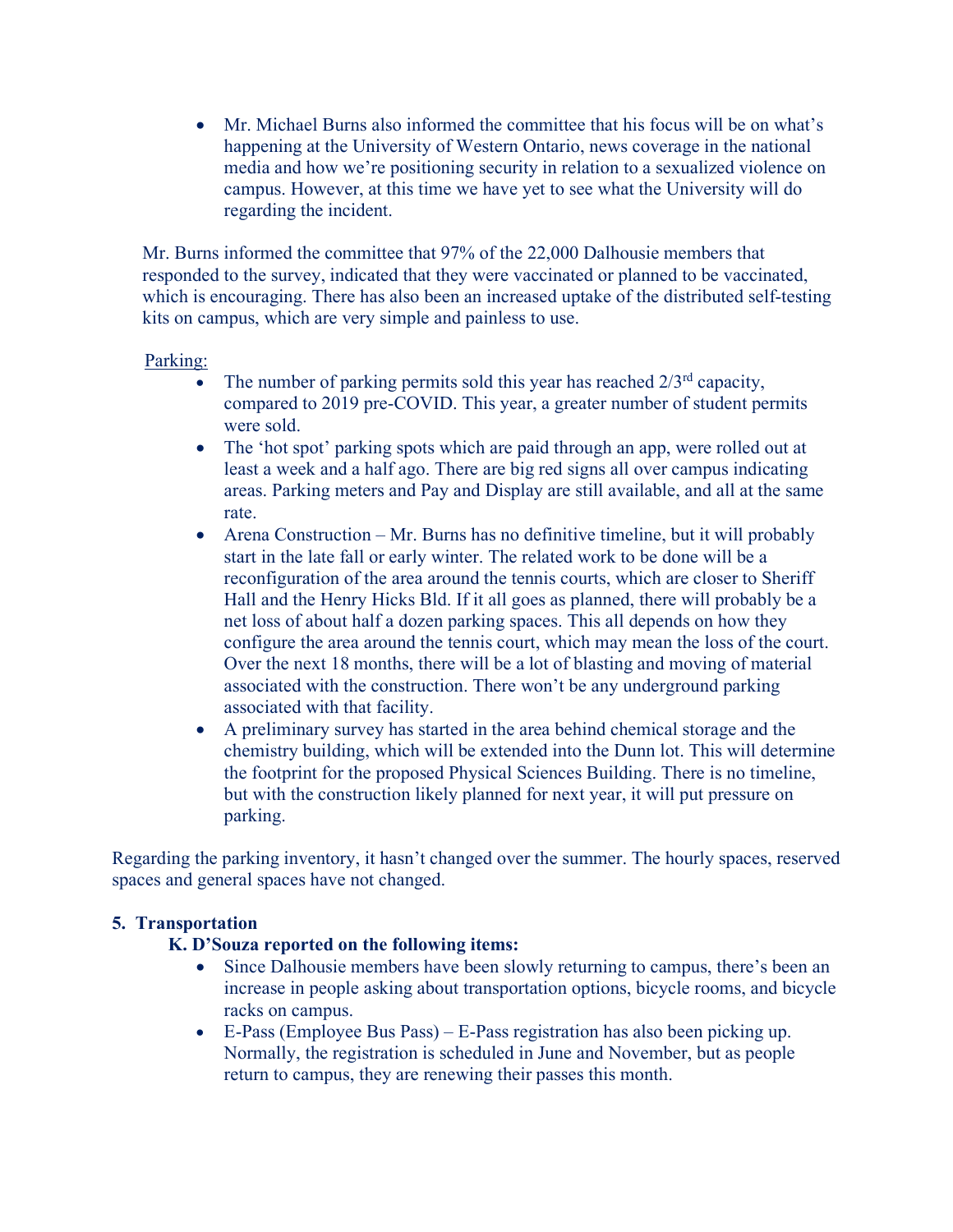• Mr. Michael Burns also informed the committee that his focus will be on what's happening at the University of Western Ontario, news coverage in the national media and how we're positioning security in relation to a sexualized violence on campus. However, at this time we have yet to see what the University will do regarding the incident.

Mr. Burns informed the committee that 97% of the 22,000 Dalhousie members that responded to the survey, indicated that they were vaccinated or planned to be vaccinated, which is encouraging. There has also been an increased uptake of the distributed self-testing kits on campus, which are very simple and painless to use.

### Parking:

- The number of parking permits sold this year has reached  $2/3^{rd}$  capacity, compared to 2019 pre-COVID. This year, a greater number of student permits were sold.
- The 'hot spot' parking spots which are paid through an app, were rolled out at least a week and a half ago. There are big red signs all over campus indicating areas. Parking meters and Pay and Display are still available, and all at the same rate.
- Arena Construction Mr. Burns has no definitive timeline, but it will probably start in the late fall or early winter. The related work to be done will be a reconfiguration of the area around the tennis courts, which are closer to Sheriff Hall and the Henry Hicks Bld. If it all goes as planned, there will probably be a net loss of about half a dozen parking spaces. This all depends on how they configure the area around the tennis court, which may mean the loss of the court. Over the next 18 months, there will be a lot of blasting and moving of material associated with the construction. There won't be any underground parking associated with that facility.
- A preliminary survey has started in the area behind chemical storage and the chemistry building, which will be extended into the Dunn lot. This will determine the footprint for the proposed Physical Sciences Building. There is no timeline, but with the construction likely planned for next year, it will put pressure on parking.

Regarding the parking inventory, it hasn't changed over the summer. The hourly spaces, reserved spaces and general spaces have not changed.

# **5. Transportation**

# **K. D'Souza reported on the following items:**

- Since Dalhousie members have been slowly returning to campus, there's been an increase in people asking about transportation options, bicycle rooms, and bicycle racks on campus.
- E-Pass (Employee Bus Pass) E-Pass registration has also been picking up. Normally, the registration is scheduled in June and November, but as people return to campus, they are renewing their passes this month.